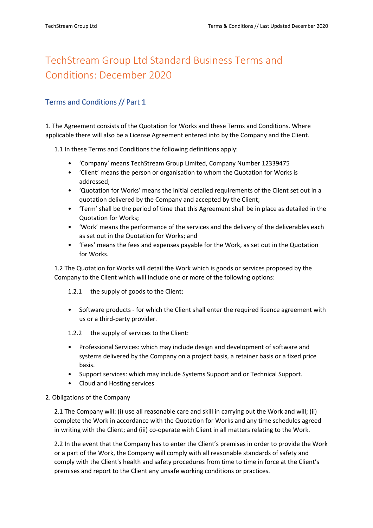# TechStream Group Ltd Standard Business Terms and Conditions: December 2020

# Terms and Conditions // Part 1

1. The Agreement consists of the Quotation for Works and these Terms and Conditions. Where applicable there will also be a License Agreement entered into by the Company and the Client.

1.1 In these Terms and Conditions the following definitions apply:

- 'Company' means TechStream Group Limited, Company Number 12339475
- 'Client' means the person or organisation to whom the Quotation for Works is addressed;
- 'Quotation for Works' means the initial detailed requirements of the Client set out in a quotation delivered by the Company and accepted by the Client;
- 'Term' shall be the period of time that this Agreement shall be in place as detailed in the Quotation for Works;
- 'Work' means the performance of the services and the delivery of the deliverables each as set out in the Quotation for Works; and
- 'Fees' means the fees and expenses payable for the Work, as set out in the Quotation for Works.

1.2 The Quotation for Works will detail the Work which is goods or services proposed by the Company to the Client which will include one or more of the following options:

1.2.1 the supply of goods to the Client:

- Software products for which the Client shall enter the required licence agreement with us or a third-party provider.
- 1.2.2 the supply of services to the Client:
- Professional Services: which may include design and development of software and systems delivered by the Company on a project basis, a retainer basis or a fixed price basis.
- Support services: which may include Systems Support and or Technical Support.
- Cloud and Hosting services

### 2. Obligations of the Company

2.1 The Company will: (i) use all reasonable care and skill in carrying out the Work and will; (ii) complete the Work in accordance with the Quotation for Works and any time schedules agreed in writing with the Client; and (iii) co-operate with Client in all matters relating to the Work.

2.2 In the event that the Company has to enter the Client's premises in order to provide the Work or a part of the Work, the Company will comply with all reasonable standards of safety and comply with the Client's health and safety procedures from time to time in force at the Client's premises and report to the Client any unsafe working conditions or practices.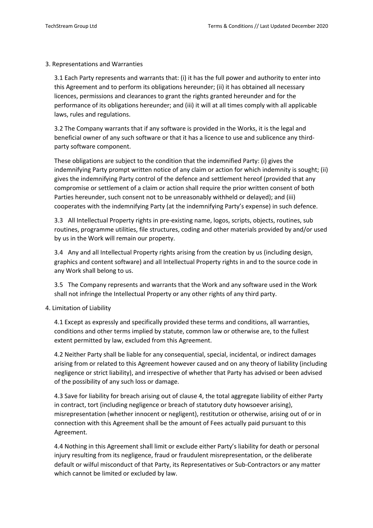3. Representations and Warranties

3.1 Each Party represents and warrants that: (i) it has the full power and authority to enter into this Agreement and to perform its obligations hereunder; (ii) it has obtained all necessary licences, permissions and clearances to grant the rights granted hereunder and for the performance of its obligations hereunder; and (iii) it will at all times comply with all applicable laws, rules and regulations.

3.2 The Company warrants that if any software is provided in the Works, it is the legal and beneficial owner of any such software or that it has a licence to use and sublicence any thirdparty software component.

These obligations are subject to the condition that the indemnified Party: (i) gives the indemnifying Party prompt written notice of any claim or action for which indemnity is sought; (ii) gives the indemnifying Party control of the defence and settlement hereof (provided that any compromise or settlement of a claim or action shall require the prior written consent of both Parties hereunder, such consent not to be unreasonably withheld or delayed); and (iii) cooperates with the indemnifying Party (at the indemnifying Party's expense) in such defence.

3.3 All Intellectual Property rights in pre-existing name, logos, scripts, objects, routines, sub routines, programme utilities, file structures, coding and other materials provided by and/or used by us in the Work will remain our property.

3.4 Any and all Intellectual Property rights arising from the creation by us (including design, graphics and content software) and all Intellectual Property rights in and to the source code in any Work shall belong to us.

3.5 The Company represents and warrants that the Work and any software used in the Work shall not infringe the Intellectual Property or any other rights of any third party.

4. Limitation of Liability

4.1 Except as expressly and specifically provided these terms and conditions, all warranties, conditions and other terms implied by statute, common law or otherwise are, to the fullest extent permitted by law, excluded from this Agreement.

4.2 Neither Party shall be liable for any consequential, special, incidental, or indirect damages arising from or related to this Agreement however caused and on any theory of liability (including negligence or strict liability), and irrespective of whether that Party has advised or been advised of the possibility of any such loss or damage.

4.3 Save for liability for breach arising out of clause 4, the total aggregate liability of either Party in contract, tort (including negligence or breach of statutory duty howsoever arising), misrepresentation (whether innocent or negligent), restitution or otherwise, arising out of or in connection with this Agreement shall be the amount of Fees actually paid pursuant to this Agreement.

4.4 Nothing in this Agreement shall limit or exclude either Party's liability for death or personal injury resulting from its negligence, fraud or fraudulent misrepresentation, or the deliberate default or wilful misconduct of that Party, its Representatives or Sub-Contractors or any matter which cannot be limited or excluded by law.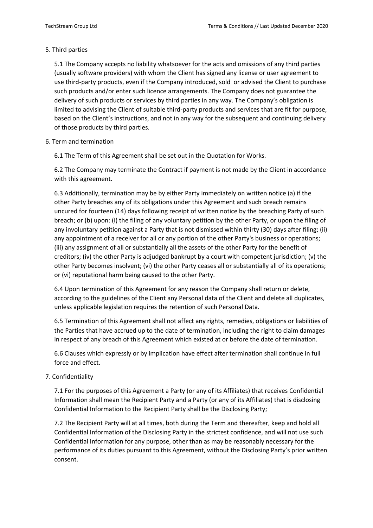## 5. Third parties

5.1 The Company accepts no liability whatsoever for the acts and omissions of any third parties (usually software providers) with whom the Client has signed any license or user agreement to use third-party products, even if the Company introduced, sold or advised the Client to purchase such products and/or enter such licence arrangements. The Company does not guarantee the delivery of such products or services by third parties in any way. The Company's obligation is limited to advising the Client of suitable third-party products and services that are fit for purpose, based on the Client's instructions, and not in any way for the subsequent and continuing delivery of those products by third parties.

### 6. Term and termination

6.1 The Term of this Agreement shall be set out in the Quotation for Works.

6.2 The Company may terminate the Contract if payment is not made by the Client in accordance with this agreement.

6.3 Additionally, termination may be by either Party immediately on written notice (a) if the other Party breaches any of its obligations under this Agreement and such breach remains uncured for fourteen (14) days following receipt of written notice by the breaching Party of such breach; or (b) upon: (i) the filing of any voluntary petition by the other Party, or upon the filing of any involuntary petition against a Party that is not dismissed within thirty (30) days after filing; (ii) any appointment of a receiver for all or any portion of the other Party's business or operations; (iii) any assignment of all or substantially all the assets of the other Party for the benefit of creditors; (iv) the other Party is adjudged bankrupt by a court with competent jurisdiction; (v) the other Party becomes insolvent; (vi) the other Party ceases all or substantially all of its operations; or (vi) reputational harm being caused to the other Party.

6.4 Upon termination of this Agreement for any reason the Company shall return or delete, according to the guidelines of the Client any Personal data of the Client and delete all duplicates, unless applicable legislation requires the retention of such Personal Data.

6.5 Termination of this Agreement shall not affect any rights, remedies, obligations or liabilities of the Parties that have accrued up to the date of termination, including the right to claim damages in respect of any breach of this Agreement which existed at or before the date of termination.

6.6 Clauses which expressly or by implication have effect after termination shall continue in full force and effect.

# 7. Confidentiality

7.1 For the purposes of this Agreement a Party (or any of its Affiliates) that receives Confidential Information shall mean the Recipient Party and a Party (or any of its Affiliates) that is disclosing Confidential Information to the Recipient Party shall be the Disclosing Party;

7.2 The Recipient Party will at all times, both during the Term and thereafter, keep and hold all Confidential Information of the Disclosing Party in the strictest confidence, and will not use such Confidential Information for any purpose, other than as may be reasonably necessary for the performance of its duties pursuant to this Agreement, without the Disclosing Party's prior written consent.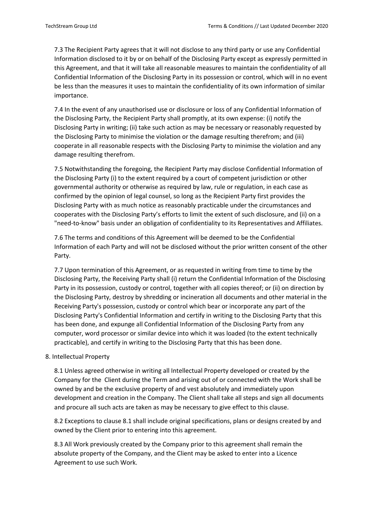7.3 The Recipient Party agrees that it will not disclose to any third party or use any Confidential Information disclosed to it by or on behalf of the Disclosing Party except as expressly permitted in this Agreement, and that it will take all reasonable measures to maintain the confidentiality of all Confidential Information of the Disclosing Party in its possession or control, which will in no event be less than the measures it uses to maintain the confidentiality of its own information of similar importance.

7.4 In the event of any unauthorised use or disclosure or loss of any Confidential Information of the Disclosing Party, the Recipient Party shall promptly, at its own expense: (i) notify the Disclosing Party in writing; (ii) take such action as may be necessary or reasonably requested by the Disclosing Party to minimise the violation or the damage resulting therefrom; and (iii) cooperate in all reasonable respects with the Disclosing Party to minimise the violation and any damage resulting therefrom.

7.5 Notwithstanding the foregoing, the Recipient Party may disclose Confidential Information of the Disclosing Party (i) to the extent required by a court of competent jurisdiction or other governmental authority or otherwise as required by law, rule or regulation, in each case as confirmed by the opinion of legal counsel, so long as the Recipient Party first provides the Disclosing Party with as much notice as reasonably practicable under the circumstances and cooperates with the Disclosing Party's efforts to limit the extent of such disclosure, and (ii) on a "need-to-know" basis under an obligation of confidentiality to its Representatives and Affiliates.

7.6 The terms and conditions of this Agreement will be deemed to be the Confidential Information of each Party and will not be disclosed without the prior written consent of the other Party.

7.7 Upon termination of this Agreement, or as requested in writing from time to time by the Disclosing Party, the Receiving Party shall (i) return the Confidential Information of the Disclosing Party in its possession, custody or control, together with all copies thereof; or (ii) on direction by the Disclosing Party, destroy by shredding or incineration all documents and other material in the Receiving Party's possession, custody or control which bear or incorporate any part of the Disclosing Party's Confidential Information and certify in writing to the Disclosing Party that this has been done, and expunge all Confidential Information of the Disclosing Party from any computer, word processor or similar device into which it was loaded (to the extent technically practicable), and certify in writing to the Disclosing Party that this has been done.

#### 8. Intellectual Property

8.1 Unless agreed otherwise in writing all Intellectual Property developed or created by the Company for the Client during the Term and arising out of or connected with the Work shall be owned by and be the exclusive property of and vest absolutely and immediately upon development and creation in the Company. The Client shall take all steps and sign all documents and procure all such acts are taken as may be necessary to give effect to this clause.

8.2 Exceptions to clause 8.1 shall include original specifications, plans or designs created by and owned by the Client prior to entering into this agreement.

8.3 All Work previously created by the Company prior to this agreement shall remain the absolute property of the Company, and the Client may be asked to enter into a Licence Agreement to use such Work.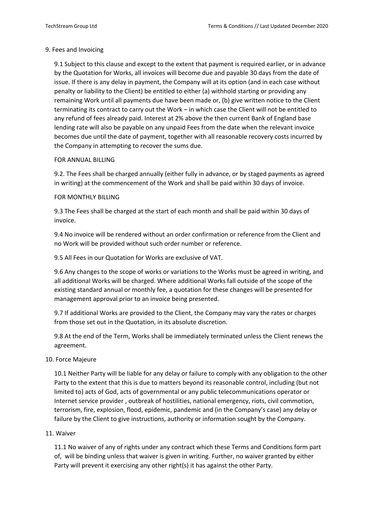## 9. Fees and Invoicing

9.1 Subject to this clause and except to the extent that payment is required earlier, or in advance by the Quotation for Works, all invoices will become due and payable 30 days from the date of issue. If there is any delay in payment, the Company will at its option (and in each case without penalty or liability to the Client) be entitled to either (a) withhold starting or providing any remaining Work until all payments due have been made or, (b) give written notice to the Client terminating its contract to carry out the Work – in which case the Client will not be entitled to any refund of fees already paid. Interest at 2% above the then current Bank of England base lending rate will also be payable on any unpaid Fees from the date when the relevant invoice becomes due until the date of payment, together with all reasonable recovery costs incurred by the Company in attempting to recover the sums due.

## FOR ANNUAL BILLING

9.2. The Fees shall be charged annually (either fully in advance, or by staged payments as agreed in writing) at the commencement of the Work and shall be paid within 30 days of invoice.

## FOR MONTHLY BILLING

9.3 The Fees shall be charged at the start of each month and shall be paid within 30 days of invoice.

9.4 No invoice will be rendered without an order confirmation or reference from the Client and no Work will be provided without such order number or reference.

9.5 All Fees in our Quotation for Works are exclusive of VAT.

9.6 Any changes to the scope of works or variations to the Works must be agreed in writing, and all additional Works will be charged. Where additional Works fall outside of the scope of the existing standard annual or monthly fee, a quotation for these changes will be presented for management approval prior to an invoice being presented.

9.7 If additional Works are provided to the Client, the Company may vary the rates or charges from those set out in the Quotation, in its absolute discretion.

9.8 At the end of the Term, Works shall be immediately terminated unless the Client renews the agreement.

### 10. Force Majeure

10.1 Neither Party will be liable for any delay or failure to comply with any obligation to the other Party to the extent that this is due to matters beyond its reasonable control, including (but not limited to) acts of God, acts of governmental or any public telecommunications operator or Internet service provider , outbreak of hostilities, national emergency, riots, civil commotion, terrorism, fire, explosion, flood, epidemic, pandemic and (in the Company's case) any delay or failure by the Client to give instructions, authority or information sought by the Company.

### 11. Waiver

11.1 No waiver of any of rights under any contract which these Terms and Conditions form part of, will be binding unless that waiver is given in writing. Further, no waiver granted by either Party will prevent it exercising any other right(s) it has against the other Party.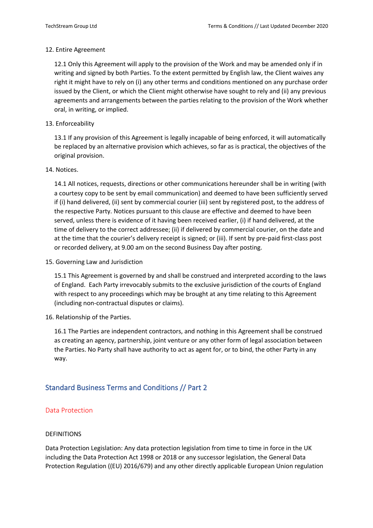### 12. Entire Agreement

12.1 Only this Agreement will apply to the provision of the Work and may be amended only if in writing and signed by both Parties. To the extent permitted by English law, the Client waives any right it might have to rely on (i) any other terms and conditions mentioned on any purchase order issued by the Client, or which the Client might otherwise have sought to rely and (ii) any previous agreements and arrangements between the parties relating to the provision of the Work whether oral, in writing, or implied.

### 13. Enforceability

13.1 If any provision of this Agreement is legally incapable of being enforced, it will automatically be replaced by an alternative provision which achieves, so far as is practical, the objectives of the original provision.

### 14. Notices.

14.1 All notices, requests, directions or other communications hereunder shall be in writing (with a courtesy copy to be sent by email communication) and deemed to have been sufficiently served if (i) hand delivered, (ii) sent by commercial courier (iii) sent by registered post, to the address of the respective Party. Notices pursuant to this clause are effective and deemed to have been served, unless there is evidence of it having been received earlier, (i) if hand delivered, at the time of delivery to the correct addressee; (ii) if delivered by commercial courier, on the date and at the time that the courier's delivery receipt is signed; or (iii). If sent by pre-paid first-class post or recorded delivery, at 9.00 am on the second Business Day after posting.

15. Governing Law and Jurisdiction

15.1 This Agreement is governed by and shall be construed and interpreted according to the laws of England. Each Party irrevocably submits to the exclusive jurisdiction of the courts of England with respect to any proceedings which may be brought at any time relating to this Agreement (including non-contractual disputes or claims).

16. Relationship of the Parties.

16.1 The Parties are independent contractors, and nothing in this Agreement shall be construed as creating an agency, partnership, joint venture or any other form of legal association between the Parties. No Party shall have authority to act as agent for, or to bind, the other Party in any way.

# Standard Business Terms and Conditions // Part 2

### Data Protection

### DEFINITIONS

Data Protection Legislation: Any data protection legislation from time to time in force in the UK including the Data Protection Act 1998 or 2018 or any successor legislation, the General Data Protection Regulation ((EU) 2016/679) and any other directly applicable European Union regulation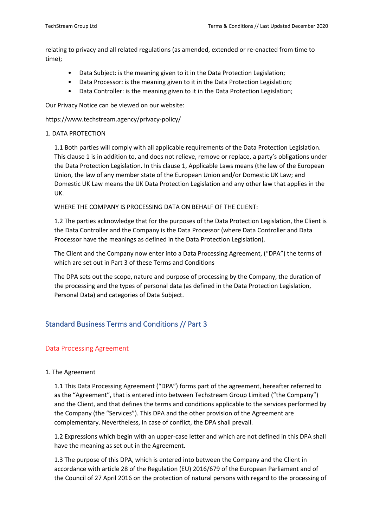relating to privacy and all related regulations (as amended, extended or re-enacted from time to time);

- Data Subject: is the meaning given to it in the Data Protection Legislation;
- Data Processor: is the meaning given to it in the Data Protection Legislation;
- Data Controller: is the meaning given to it in the Data Protection Legislation;

Our Privacy Notice can be viewed on our website:

https://www.techstream.agency/privacy-policy/

### 1. DATA PROTECTION

1.1 Both parties will comply with all applicable requirements of the Data Protection Legislation. This clause 1 is in addition to, and does not relieve, remove or replace, a party's obligations under the Data Protection Legislation. In this clause 1, Applicable Laws means (the law of the European Union, the law of any member state of the European Union and/or Domestic UK Law; and Domestic UK Law means the UK Data Protection Legislation and any other law that applies in the UK.

WHERE THE COMPANY IS PROCESSING DATA ON BEHALF OF THE CLIENT:

1.2 The parties acknowledge that for the purposes of the Data Protection Legislation, the Client is the Data Controller and the Company is the Data Processor (where Data Controller and Data Processor have the meanings as defined in the Data Protection Legislation).

The Client and the Company now enter into a Data Processing Agreement, ("DPA") the terms of which are set out in Part 3 of these Terms and Conditions

The DPA sets out the scope, nature and purpose of processing by the Company, the duration of the processing and the types of personal data (as defined in the Data Protection Legislation, Personal Data) and categories of Data Subject.

# Standard Business Terms and Conditions // Part 3

# Data Processing Agreement

### 1. The Agreement

1.1 This Data Processing Agreement ("DPA") forms part of the agreement, hereafter referred to as the "Agreement", that is entered into between Techstream Group Limited ("the Company") and the Client, and that defines the terms and conditions applicable to the services performed by the Company (the "Services"). This DPA and the other provision of the Agreement are complementary. Nevertheless, in case of conflict, the DPA shall prevail.

1.2 Expressions which begin with an upper-case letter and which are not defined in this DPA shall have the meaning as set out in the Agreement.

1.3 The purpose of this DPA, which is entered into between the Company and the Client in accordance with article 28 of the Regulation (EU) 2016/679 of the European Parliament and of the Council of 27 April 2016 on the protection of natural persons with regard to the processing of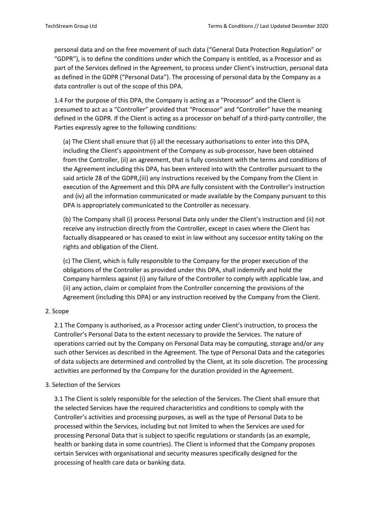personal data and on the free movement of such data ("General Data Protection Regulation" or "GDPR"), is to define the conditions under which the Company is entitled, as a Processor and as part of the Services defined in the Agreement, to process under Client's instruction, personal data as defined in the GDPR ("Personal Data"). The processing of personal data by the Company as a data controller is out of the scope of this DPA.

1.4 For the purpose of this DPA, the Company is acting as a "Processor" and the Client is presumed to act as a "Controller" provided that "Processor" and "Controller" have the meaning defined in the GDPR. If the Client is acting as a processor on behalf of a third-party controller, the Parties expressly agree to the following conditions:

(a) The Client shall ensure that (i) all the necessary authorisations to enter into this DPA, including the Client's appointment of the Company as sub-processor, have been obtained from the Controller, (ii) an agreement, that is fully consistent with the terms and conditions of the Agreement including this DPA, has been entered into with the Controller pursuant to the said article 28 of the GDPR,(iii) any instructions received by the Company from the Client in execution of the Agreement and this DPA are fully consistent with the Controller's instruction and (iv) all the information communicated or made available by the Company pursuant to this DPA is appropriately communicated to the Controller as necessary.

(b) The Company shall (i) process Personal Data only under the Client's instruction and (ii) not receive any instruction directly from the Controller, except in cases where the Client has factually disappeared or has ceased to exist in law without any successor entity taking on the rights and obligation of the Client.

(c) The Client, which is fully responsible to the Company for the proper execution of the obligations of the Controller as provided under this DPA, shall indemnify and hold the Company harmless against (i) any failure of the Controller to comply with applicable law, and (ii) any action, claim or complaint from the Controller concerning the provisions of the Agreement (including this DPA) or any instruction received by the Company from the Client.

### 2. Scope

2.1 The Company is authorised, as a Processor acting under Client's instruction, to process the Controller's Personal Data to the extent necessary to provide the Services. The nature of operations carried out by the Company on Personal Data may be computing, storage and/or any such other Services as described in the Agreement. The type of Personal Data and the categories of data subjects are determined and controlled by the Client, at its sole discretion. The processing activities are performed by the Company for the duration provided in the Agreement.

### 3. Selection of the Services

3.1 The Client is solely responsible for the selection of the Services. The Client shall ensure that the selected Services have the required characteristics and conditions to comply with the Controller's activities and processing purposes, as well as the type of Personal Data to be processed within the Services, including but not limited to when the Services are used for processing Personal Data that is subject to specific regulations or standards (as an example, health or banking data in some countries). The Client is informed that the Company proposes certain Services with organisational and security measures specifically designed for the processing of health care data or banking data.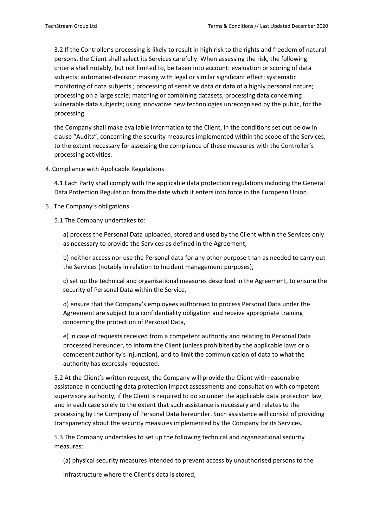3.2 If the Controller's processing is likely to result in high risk to the rights and freedom of natural persons, the Client shall select its Services carefully. When assessing the risk, the following criteria shall notably, but not limited to, be taken into account: evaluation or scoring of data subjects; automated-decision making with legal or similar significant effect; systematic monitoring of data subjects ; processing of sensitive data or data of a highly personal nature; processing on a large scale; matching or combining datasets; processing data concerning vulnerable data subjects; using innovative new technologies unrecognised by the public, for the processing.

the Company shall make available information to the Client, in the conditions set out below in clause "Audits", concerning the security measures implemented within the scope of the Services, to the extent necessary for assessing the compliance of these measures with the Controller's processing activities.

4. Compliance with Applicable Regulations

4.1 Each Party shall comply with the applicable data protection regulations including the General Data Protection Regulation from the date which it enters into force in the European Union.

### 5.. The Company's obligations

5.1 The Company undertakes to:

a) process the Personal Data uploaded, stored and used by the Client within the Services only as necessary to provide the Services as defined in the Agreement,

b) neither access nor use the Personal data for any other purpose than as needed to carry out the Services (notably in relation to Incident management purposes),

c) set up the technical and organisational measures described in the Agreement, to ensure the security of Personal Data within the Service,

d) ensure that the Company's employees authorised to process Personal Data under the Agreement are subject to a confidentiality obligation and receive appropriate training concerning the protection of Personal Data,

e) in case of requests received from a competent authority and relating to Personal Data processed hereunder, to inform the Client (unless prohibited by the applicable laws or a competent authority's injunction), and to limit the communication of data to what the authority has expressly requested.

5.2 At the Client's written request, the Company will provide the Client with reasonable assistance in conducting data protection impact assessments and consultation with competent supervisory authority, if the Client is required to do so under the applicable data protection law, and in each case solely to the extent that such assistance is necessary and relates to the processing by the Company of Personal Data hereunder. Such assistance will consist of providing transparency about the security measures implemented by the Company for its Services.

5.3 The Company undertakes to set up the following technical and organisational security measures:

(a) physical security measures intended to prevent access by unauthorised persons to the

Infrastructure where the Client's data is stored,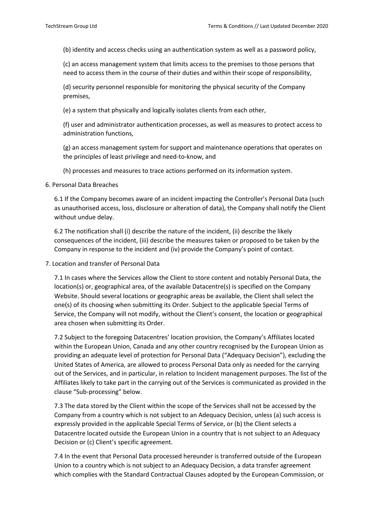(b) identity and access checks using an authentication system as well as a password policy,

(c) an access management system that limits access to the premises to those persons that need to access them in the course of their duties and within their scope of responsibility,

(d) security personnel responsible for monitoring the physical security of the Company premises,

(e) a system that physically and logically isolates clients from each other,

(f) user and administrator authentication processes, as well as measures to protect access to administration functions,

(g) an access management system for support and maintenance operations that operates on the principles of least privilege and need-to-know, and

(h) processes and measures to trace actions performed on its information system.

6. Personal Data Breaches

6.1 If the Company becomes aware of an incident impacting the Controller's Personal Data (such as unauthorised access, loss, disclosure or alteration of data), the Company shall notify the Client without undue delay.

6.2 The notification shall (i) describe the nature of the incident, (ii) describe the likely consequences of the incident, (iii) describe the measures taken or proposed to be taken by the Company in response to the incident and (iv) provide the Company's point of contact.

7. Location and transfer of Personal Data

7.1 In cases where the Services allow the Client to store content and notably Personal Data, the location(s) or, geographical area, of the available Datacentre(s) is specified on the Company Website. Should several locations or geographic areas be available, the Client shall select the one(s) of its choosing when submitting its Order. Subject to the applicable Special Terms of Service, the Company will not modify, without the Client's consent, the location or geographical area chosen when submitting its Order.

7.2 Subject to the foregoing Datacentres' location provision, the Company's Affiliates located within the European Union, Canada and any other country recognised by the European Union as providing an adequate level of protection for Personal Data ("Adequacy Decision"), excluding the United States of America, are allowed to process Personal Data only as needed for the carrying out of the Services, and in particular, in relation to Incident management purposes. The list of the Affiliates likely to take part in the carrying out of the Services is communicated as provided in the clause "Sub-processing" below.

7.3 The data stored by the Client within the scope of the Services shall not be accessed by the Company from a country which is not subject to an Adequacy Decision, unless (a) such access is expressly provided in the applicable Special Terms of Service, or (b) the Client selects a Datacentre located outside the European Union in a country that is not subject to an Adequacy Decision or (c) Client's specific agreement.

7.4 In the event that Personal Data processed hereunder is transferred outside of the European Union to a country which is not subject to an Adequacy Decision, a data transfer agreement which complies with the Standard Contractual Clauses adopted by the European Commission, or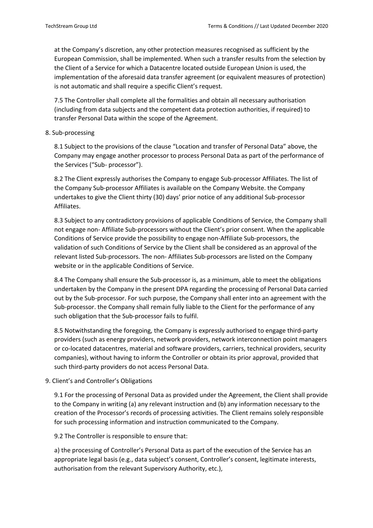at the Company's discretion, any other protection measures recognised as sufficient by the European Commission, shall be implemented. When such a transfer results from the selection by the Client of a Service for which a Datacentre located outside European Union is used, the implementation of the aforesaid data transfer agreement (or equivalent measures of protection) is not automatic and shall require a specific Client's request.

7.5 The Controller shall complete all the formalities and obtain all necessary authorisation (including from data subjects and the competent data protection authorities, if required) to transfer Personal Data within the scope of the Agreement.

8. Sub-processing

8.1 Subject to the provisions of the clause "Location and transfer of Personal Data" above, the Company may engage another processor to process Personal Data as part of the performance of the Services ("Sub- processor").

8.2 The Client expressly authorises the Company to engage Sub-processor Affiliates. The list of the Company Sub-processor Affiliates is available on the Company Website. the Company undertakes to give the Client thirty (30) days' prior notice of any additional Sub-processor Affiliates.

8.3 Subject to any contradictory provisions of applicable Conditions of Service, the Company shall not engage non- Affiliate Sub-processors without the Client's prior consent. When the applicable Conditions of Service provide the possibility to engage non-Affiliate Sub-processors, the validation of such Conditions of Service by the Client shall be considered as an approval of the relevant listed Sub-processors. The non- Affiliates Sub-processors are listed on the Company website or in the applicable Conditions of Service.

8.4 The Company shall ensure the Sub-processor is, as a minimum, able to meet the obligations undertaken by the Company in the present DPA regarding the processing of Personal Data carried out by the Sub-processor. For such purpose, the Company shall enter into an agreement with the Sub-processor. the Company shall remain fully liable to the Client for the performance of any such obligation that the Sub-processor fails to fulfil.

8.5 Notwithstanding the foregoing, the Company is expressly authorised to engage third-party providers (such as energy providers, network providers, network interconnection point managers or co-located datacentres, material and software providers, carriers, technical providers, security companies), without having to inform the Controller or obtain its prior approval, provided that such third-party providers do not access Personal Data.

9. Client's and Controller's Obligations

9.1 For the processing of Personal Data as provided under the Agreement, the Client shall provide to the Company in writing (a) any relevant instruction and (b) any information necessary to the creation of the Processor's records of processing activities. The Client remains solely responsible for such processing information and instruction communicated to the Company.

9.2 The Controller is responsible to ensure that:

a) the processing of Controller's Personal Data as part of the execution of the Service has an appropriate legal basis (e.g., data subject's consent, Controller's consent, legitimate interests, authorisation from the relevant Supervisory Authority, etc.),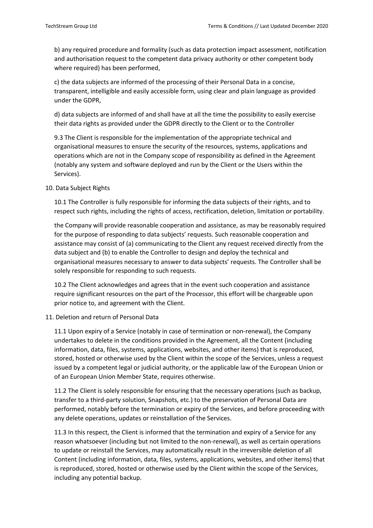b) any required procedure and formality (such as data protection impact assessment, notification and authorisation request to the competent data privacy authority or other competent body where required) has been performed,

c) the data subjects are informed of the processing of their Personal Data in a concise, transparent, intelligible and easily accessible form, using clear and plain language as provided under the GDPR,

d) data subjects are informed of and shall have at all the time the possibility to easily exercise their data rights as provided under the GDPR directly to the Client or to the Controller

9.3 The Client is responsible for the implementation of the appropriate technical and organisational measures to ensure the security of the resources, systems, applications and operations which are not in the Company scope of responsibility as defined in the Agreement (notably any system and software deployed and run by the Client or the Users within the Services).

### 10. Data Subject Rights

10.1 The Controller is fully responsible for informing the data subjects of their rights, and to respect such rights, including the rights of access, rectification, deletion, limitation or portability.

the Company will provide reasonable cooperation and assistance, as may be reasonably required for the purpose of responding to data subjects' requests. Such reasonable cooperation and assistance may consist of (a) communicating to the Client any request received directly from the data subject and (b) to enable the Controller to design and deploy the technical and organisational measures necessary to answer to data subjects' requests. The Controller shall be solely responsible for responding to such requests.

10.2 The Client acknowledges and agrees that in the event such cooperation and assistance require significant resources on the part of the Processor, this effort will be chargeable upon prior notice to, and agreement with the Client.

#### 11. Deletion and return of Personal Data

11.1 Upon expiry of a Service (notably in case of termination or non-renewal), the Company undertakes to delete in the conditions provided in the Agreement, all the Content (including information, data, files, systems, applications, websites, and other items) that is reproduced, stored, hosted or otherwise used by the Client within the scope of the Services, unless a request issued by a competent legal or judicial authority, or the applicable law of the European Union or of an European Union Member State, requires otherwise.

11.2 The Client is solely responsible for ensuring that the necessary operations (such as backup, transfer to a third-party solution, Snapshots, etc.) to the preservation of Personal Data are performed, notably before the termination or expiry of the Services, and before proceeding with any delete operations, updates or reinstallation of the Services.

11.3 In this respect, the Client is informed that the termination and expiry of a Service for any reason whatsoever (including but not limited to the non-renewal), as well as certain operations to update or reinstall the Services, may automatically result in the irreversible deletion of all Content (including information, data, files, systems, applications, websites, and other items) that is reproduced, stored, hosted or otherwise used by the Client within the scope of the Services, including any potential backup.